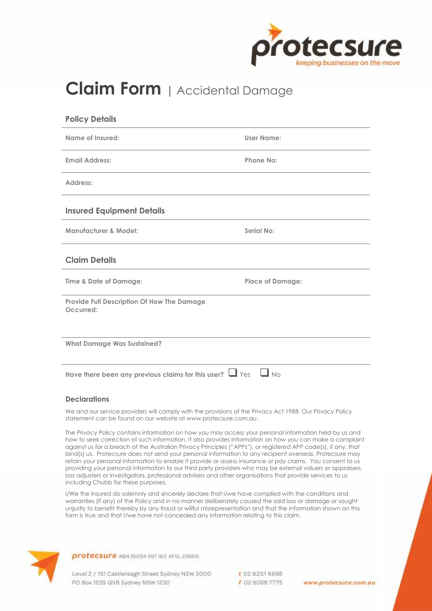

# **Claim Form <sup>|</sup>** Accidental Damage

| <b>Policy Details</b>                                                                                                                                                                                                                                                                                                                                                                                                                                                                                                                                                                                                                                                                                                                                                                                                              |                         |  |
|------------------------------------------------------------------------------------------------------------------------------------------------------------------------------------------------------------------------------------------------------------------------------------------------------------------------------------------------------------------------------------------------------------------------------------------------------------------------------------------------------------------------------------------------------------------------------------------------------------------------------------------------------------------------------------------------------------------------------------------------------------------------------------------------------------------------------------|-------------------------|--|
| Name of Insured:                                                                                                                                                                                                                                                                                                                                                                                                                                                                                                                                                                                                                                                                                                                                                                                                                   | User Name:              |  |
| <b>Email Address:</b>                                                                                                                                                                                                                                                                                                                                                                                                                                                                                                                                                                                                                                                                                                                                                                                                              | <b>Phone No:</b>        |  |
| Address:                                                                                                                                                                                                                                                                                                                                                                                                                                                                                                                                                                                                                                                                                                                                                                                                                           |                         |  |
| <b>Insured Equipment Details</b>                                                                                                                                                                                                                                                                                                                                                                                                                                                                                                                                                                                                                                                                                                                                                                                                   |                         |  |
| <b>Manufacturer &amp; Model:</b>                                                                                                                                                                                                                                                                                                                                                                                                                                                                                                                                                                                                                                                                                                                                                                                                   | Serial No:              |  |
| <b>Claim Details</b>                                                                                                                                                                                                                                                                                                                                                                                                                                                                                                                                                                                                                                                                                                                                                                                                               |                         |  |
| Time & Date of Damage:                                                                                                                                                                                                                                                                                                                                                                                                                                                                                                                                                                                                                                                                                                                                                                                                             | <b>Place of Damage:</b> |  |
| <b>Provide Full Description Of How The Damage</b><br>Occurred:                                                                                                                                                                                                                                                                                                                                                                                                                                                                                                                                                                                                                                                                                                                                                                     |                         |  |
| <b>What Damage Was Sustained?</b>                                                                                                                                                                                                                                                                                                                                                                                                                                                                                                                                                                                                                                                                                                                                                                                                  |                         |  |
| Have there been any previous claims for this user? $\Box$ Yes $\Box$ No                                                                                                                                                                                                                                                                                                                                                                                                                                                                                                                                                                                                                                                                                                                                                            |                         |  |
| <b>Declarations</b>                                                                                                                                                                                                                                                                                                                                                                                                                                                                                                                                                                                                                                                                                                                                                                                                                |                         |  |
| We and our service providers will comply with the provisions of the Privacy Act 1988. Our Privacy Policy<br>statement can be found on our website at www.protecsure.com.au.                                                                                                                                                                                                                                                                                                                                                                                                                                                                                                                                                                                                                                                        |                         |  |
| The Privacy Policy contains information on how you may access your personal information held by us and<br>how to seek correction of such information. It also provides information on how you can make a complaint<br>against us for a breach of the Australian Privacy Principles ("APPs"), or registered APP code(s), if any, that<br>bind(s) us. Protecsure does not send your personal information to any recipient overseas. Protecsure may<br>retain your personal information to enable it provide or assess insurance or pay claims. You consent to us<br>providing your personal information to our third party providers who may be external valuers or appraisers,<br>loss adjusters or investigators, professional advisers and other organisations that provide services to us<br>including Chubb for these purposes. |                         |  |
| I/We the Insured do solemnly and sincerely declare that I/we have complied with the conditions and<br>warranties (if any) of the Policy and in no manner deliberately caused the said loss or damage or sought<br>unjustly to benefit thereby by any fraud or willful misrepresentation and that the information shown on this<br>form is true and that I/we have not concealed any information relating to this claim.                                                                                                                                                                                                                                                                                                                                                                                                            |                         |  |
| protecsure ABN 26094 997 163 AFSL 238815                                                                                                                                                                                                                                                                                                                                                                                                                                                                                                                                                                                                                                                                                                                                                                                           |                         |  |

Level 2 / 151 Castlereagh Street Sydney NSW 2000 PO Box 1239 QVB Sydney NSW 1230

t 02 8251 6666 f 0280887775

www.protecsure.com.au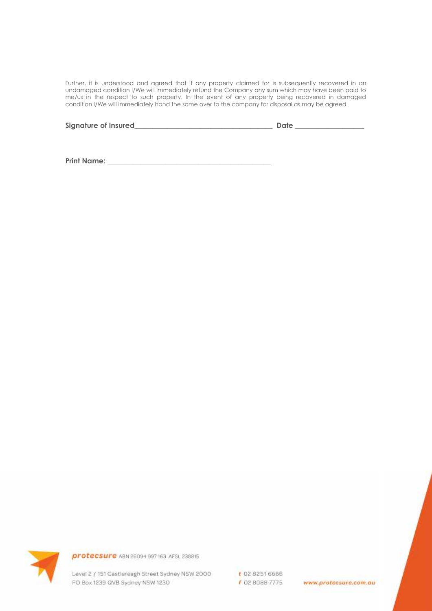Further, it is understood and agreed that if any property claimed for is subsequently recovered in an undamaged condition I/We will immediately refund the Company any sum which may have been paid to me/us in the respect to such property. In the event of any property being recovered in damaged condition I/We will immediately hand the same over to the company for disposal as may be agreed.

| Signature of Insured_ | Date |
|-----------------------|------|
|                       |      |

**Print Name: \_\_\_\_\_\_\_\_\_\_\_\_\_\_\_\_\_\_\_\_\_\_\_\_\_\_\_\_\_\_\_\_\_\_\_\_\_\_\_\_\_\_\_\_\_**



protecsure ABN 26094 997 163 AFSL 238815

Level 2 / 151 Castlereagh Street Sydney NSW 2000 PO Box 1239 QVB Sydney NSW 1230

t 02 8251 6666 f 02 8088 7775

www.protecsure.com.au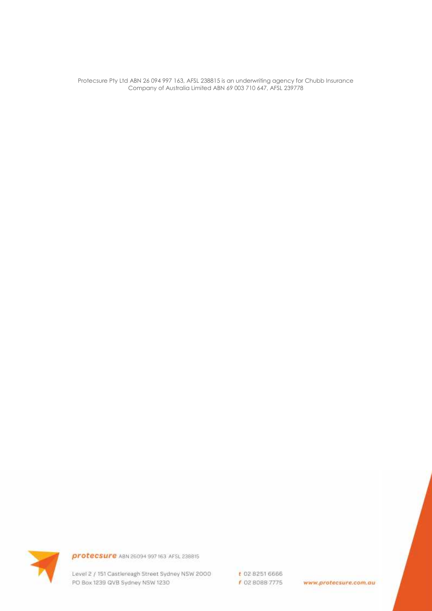Protecsure Pty Ltd ABN 26 094 997 163, AFSL 238815 is an underwriting agency for Chubb Insurance<br>Company of Australia Limited ABN 69 003 710 647, AFSL 239778



protecsure ABN 26094 997 163 AFSL 238815

Level 2 / 151 Castlereagh Street Sydney NSW 2000 PO Box 1239 QVB Sydney NSW 1230

t 02 8251 6666 f 02 8088 7775

www.protecsure.com.au